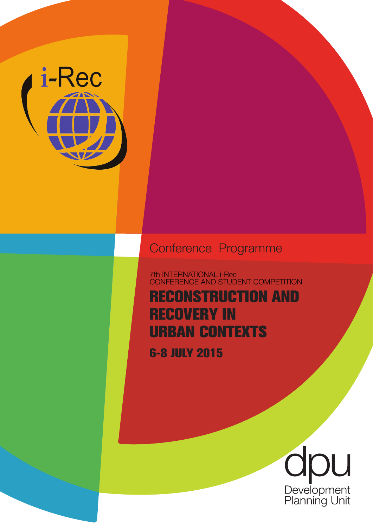

## Conference Programme

7th INTERNATIONAL i-Rec CONFERENCE AND STUDENT COMPETITION

**RECONSTRUCTION AND RECOVERY IN URBAN CONTEXTS**

**6-8 JULY 2015**

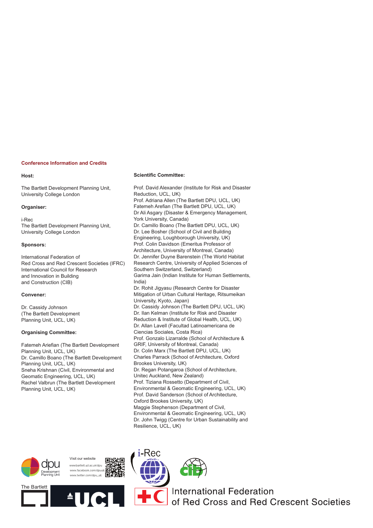#### **Conference Information and Credits**

#### **Host:**

The Bartlett Development Planning Unit, University College London

#### **Organiser:**

i-Rec The Bartlett Development Planning Unit, University College London

#### **Sponsors:**

International Federation of Red Cross and Red Crescent Societies (IFRC) International Council for Research and Innovation in Building and Construction (CIB)

#### **Convener:**

Dr. Cassidy Johnson (The Bartlett Development Planning Unit, UCL, UK)

#### **Organising Committee:**

Fatemeh Ariefian (The Bartlett Development Planning Unit, UCL, UK) Dr. Camillo Boano (The Bartlett Development Planning Unit, UCL, UK) Sneha Krishnan (Civil, Environmental and Geomatic Engineering, UCL, UK) Rachel Valbrun (The Bartlett Development Planning Unit, UCL, UK)

#### **Scientific Committee:**

Prof. David Alexander (Institute for Risk and Disaster Reduction, UCL, UK) Prof. Adriana Allen (The Bartlett DPU, UCL, UK) Fatemeh Arefian (The Bartlett DPU, UCL, UK) Dr Ali Asgary (Disaster & Emergency Management, York University, Canada) Dr. Camillo Boano (The Bartlett DPU, UCL, UK) Dr. Lee Bosher (School of Civil and Building Engineering, Loughborough University, UK) Prof. Colin Davidson (Emeritus Professor of Architecture, University of Montreal, Canada) Dr. Jennifer Duyne Barenstein (The World Habitat Research Centre, University of Applied Sciences of Southern Switzerland, Switzerland) Garima Jain (Indian Institute for Human Settlements, India) Dr. Rohit Jigyasu (Research Centre for Disaster Mitigation of Urban Cultural Heritage, Ritsumeikan University, Kyoto, Japan) Dr. Cassidy Johnson (The Bartlett DPU, UCL, UK) Dr. Ilan Kelman (Institute for Risk and Disaster Reduction & Institute of Global Health, UCL, UK) Dr. Allan Lavell (Facultad Latinoamericana de Ciencias Sociales, Costa Rica) Prof. Gonzalo Lizarralde (School of Architecture & GRIF, University of Montreal, Canada) Dr. Colin Marx (The Bartlett DPU, UCL, UK) Charles Parrack (School of Architecture, Oxford Brookes University, UK) Dr. Regan Potangaroa (School of Architecture, Unitec Auckland, New Zealand) Prof. Tiziana Rossetto (Department of Civil, Environmental & Geomatic Engineering, UCL, UK) Prof. David Sanderson (School of Architecture, Oxford Brookes University, UK) Maggie Stephenson (Department of Civil, Environmental & Geomatic Engineering, UCL, UK) Dr. John Twigg (Centre for Urban Sustainability and Resilience, UCL, UK)









**International Federation** of Red Cross and Red Crescent Societies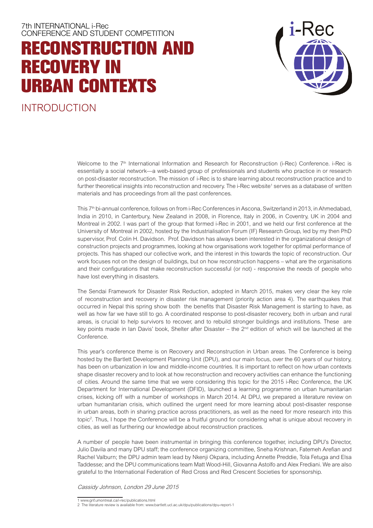## **RECONSTRUCTION AND RECOVERY IN URBAN CONTEXTS**



INTRODUCTION

Welcome to the 7<sup>th</sup> International Information and Research for Reconstruction (i-Rec) Conference. i-Rec is essentially a social network—a web-based group of professionals and students who practice in or research on post-disaster reconstruction. The mission of i-Rec is to share learning about reconstruction practice and to further theoretical insights into reconstruction and recovery. The i-Rec website<sup>1</sup> serves as a database of written materials and has proceedings from all the past conferences.

This 7<sup>th</sup> bi-annual conference, follows on from i-Rec Conferences in Ascona, Switzerland in 2013, in Ahmedabad, India in 2010, in Canterbury, New Zealand in 2008, in Florence, Italy in 2006, in Coventry, UK in 2004 and Montreal in 2002. I was part of the group that formed i-Rec in 2001, and we held our first conference at the University of Montreal in 2002, hosted by the Industrialisation Forum (IF) Research Group, led by my then PhD supervisor, Prof. Colin H. Davidson. Prof. Davidson has always been interested in the organizational design of construction projects and programmes, looking at how organisations work together for optimal performance of projects. This has shaped our collective work, and the interest in this towards the topic of reconstruction. Our work focuses not on the design of buildings, but on how reconstruction happens – what are the organisations and their configurations that make reconstruction successful (or not) - responsive the needs of people who have lost everything in disasters.

The Sendai Framework for Disaster Risk Reduction, adopted in March 2015, makes very clear the key role of reconstruction and recovery in disaster risk management (priority action area 4). The earthquakes that occurred in Nepal this spring show both the benefits that Disaster Risk Management is starting to have, as well as how far we have still to go. A coordinated response to post-disaster recovery, both in urban and rural areas, is crucial to help survivors to recover, and to rebuild stronger buildings and institutions. These are key points made in Ian Davis' book, Shelter after Disaster – the  $2<sup>nd</sup>$  edition of which will be launched at the Conference.

This year's conference theme is on Recovery and Reconstruction in Urban areas. The Conference is being hosted by the Bartlett Development Planning Unit (DPU), and our main focus, over the 60 years of our history, has been on urbanization in low and middle-income countries. It is important to reflect on how urban contexts shape disaster recovery and to look at how reconstruction and recovery activities can enhance the functioning of cities. Around the same time that we were considering this topic for the 2015 i-Rec Conference, the UK Department for International Development (DFID), launched a learning programme on urban humanitarian crises, kicking off with a number of workshops in March 2014. At DPU, we prepared a literature review on urban humanitarian crisis, which outlined the urgent need for more learning about post-disaster response in urban areas, both in sharing practice across practitioners, as well as the need for more research into this topic2 . Thus, I hope the Conference will be a fruitful ground for considering what is unique about recovery in cities, as well as furthering our knowledge about reconstruction practices.

A number of people have been instrumental in bringing this conference together, including DPU's Director, Julio Davila and many DPU staff; the conference organizing committee, Sneha Krishnan, Fatemeh Arefian and Rachel Valburn; the DPU admin team lead by Nkenji Okpara, including Annette Preddie, Tola Fetuga and Elsa Taddesse; and the DPU communications team Matt Wood-Hill, Giovanna Astolfo and Alex Frediani. We are also grateful to the International Federation of Red Cross and Red Crescent Societies for sponsorship.

#### Cassidy Johnson, London 29 June 2015

<sup>1</sup> www.grif.umontreal.ca/i-rec/publications.html

<sup>2</sup> The literature review is available from: www.bartlett.ucl.ac.uk/dpu/publications/dpu-report-1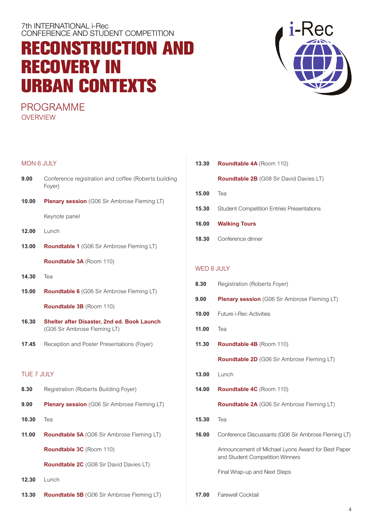## **RECONSTRUCTION AND RECOVERY IN URBAN CONTEXTS**

PROGRAMME **OVERVIEW** 

#### MON 6 JULY

- **9.00** Conference registration and coffee (Roberts building Foyer)
- **10.00 Plenary session** (G06 Sir Ambrose Fleming LT) Keynote panel

- **12.00** Lunch
- **13.00 Roundtable 1** (G06 Sir Ambrose Fleming LT) **Roundtable 3A** (Room 110)
- **14.30** Tea
- **15.00 Roundtable 6** (G06 Sir Ambrose Fleming LT)

**Roundtable 3B** (Room 110)

- **16.30 Shelter after Disaster, 2nd ed. Book Launch** (G06 Sir Ambrose Fleming LT)
- **17.45** Reception and Poster Presentations (Foyer)

#### TUE 7 JULY

- **8.30** Registration (Roberts Building Foyer) **9.00 Plenary session** (G06 Sir Ambrose Fleming LT)
- **10.30** Tea
- **11.00 Roundtable 5A** (G06 Sir Ambrose Fleming LT) **Roundtable 3C** (Room 110)

**Roundtable 2C** (G08 Sir David Davies LT)

- **12.30** Lunch
- **13.30 Roundtable 5B** (G06 Sir Ambrose Fleming LT)

| 13.30 | <b>Roundtable 4A</b> (Room 110)                  |
|-------|--------------------------------------------------|
|       | <b>Roundtable 2B</b> (G08 Sir David Davies LT)   |
| 15.00 | Теа                                              |
| 15.30 | <b>Student Competition Entries Presentations</b> |
| 16.00 | <b>Walking Tours</b>                             |
| 18.30 | Conference dinner                                |
|       |                                                  |

#### WED 8 JULY

| 8.30  | Registration (Roberts Foyer)                                                          |  |
|-------|---------------------------------------------------------------------------------------|--|
| 9.00  | <b>Plenary session</b> (G06 Sir Ambrose Fleming LT)                                   |  |
| 10.00 | <b>Future i-Rec Activities</b>                                                        |  |
| 11.00 | Tea                                                                                   |  |
| 11.30 | <b>Roundtable 4B</b> (Room 110)                                                       |  |
|       | <b>Roundtable 2D</b> (G06 Sir Ambrose Fleming LT)                                     |  |
| 13.00 | Lunch                                                                                 |  |
| 14.00 | <b>Roundtable 4C</b> (Room 110)                                                       |  |
|       |                                                                                       |  |
|       | Roundtable 2A (G06 Sir Ambrose Fleming LT)                                            |  |
| 15.30 | Tea                                                                                   |  |
| 16.00 | Conference Discussants (G06 Sir Ambrose Fleming LT)                                   |  |
|       | Announcement of Michael Lyons Award for Best Paper<br>and Student Competition Winners |  |
|       | Final Wrap-up and Next Steps                                                          |  |

**17.00** Farewell Cocktail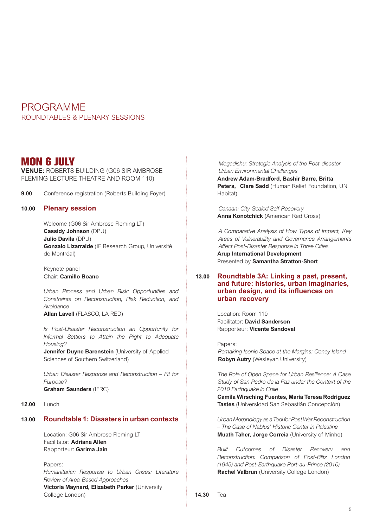### PROGRAMME ROUNDTABLES & PLENARY SESSIONS

### **MON 6 JULY**

**VENUE:** ROBERTS BUILDING (G06 SIR AMBROSE FLEMING LECTURE THEATRE AND ROOM 110)

**9.00** Conference registration (Roberts Building Foyer)

#### **10.00 Plenary session**

Welcome (G06 Sir Ambrose Fleming LT) **Cassidy Johnson** (DPU) **Julio Davila** (DPU) **Gonzalo Lizarralde** (IF Research Group, Université de Montréal)

Keynote panel Chair: **Camillo Boano**

*Urban Process and Urban Risk: Opportunities and Constraints on Reconstruction, Risk Reduction, and Avoidance*

**Allan Lavell** (FLASCO, LA RED)

*Is Post-Disaster Reconstruction an Opportunity for Informal Settlers to Attain the Right to Adequate Housing?*

**Jennifer Duyne Barenstein** (University of Applied Sciences of Southern Switzerland)

*Urban Disaster Response and Reconstruction – Fit for Purpose?* **Graham Saunders** (IFRC)

#### **12.00** Lunch

### **13.00 Roundtable 1: Disasters in urban contexts**

Location: G06 Sir Ambrose Fleming LT Facilitator: **Adriana Allen** Rapporteur: **Garima Jain**

Papers: *Humanitarian Response to Urban Crises: Literature Review of Area-Based Approaches* **Victoria Maynard, Elizabeth Parker** (University College London)

*Mogadishu: Strategic Analysis of the Post-disaster Urban Environmental Challenges* **Andrew Adam-Bradford, Bashir Barre, Britta**  Peters, Clare Sadd (Human Relief Foundation, UN Habitat)

*Canaan: City-Scaled Self-Recovery* **Anna Konotchick** (American Red Cross)

*A Comparative Analysis of How Types of Impact, Key Areas of Vulnerability and Governance Arrangements Affect Post-Disaster Response in Three Cities*  **Arup International Development** Presented by **Samantha Stratton-Short**

#### **13.00 Roundtable 3A: Linking a past, present, and future: histories, urban imaginaries, urban design, and its influences on urban recovery**

Location: Room 110 Facilitator: **David Sanderson** Rapporteur: **Vicente Sandoval**

Papers: *Remaking Iconic Space at the Margins: Coney Island* **Robyn Autry** (Wesleyan University)

*The Role of Open Space for Urban Resilience: A Case Study of San Pedro de la Paz under the Context of the 2010 Earthquake in Chile*

**Camila Wirsching Fuentes, Maria Teresa Rodriguez Tastes** (Universidad San Sebastián Concepción)

*Urban Morphology as a Tool for Post War Reconstruction – The Case of Nablus' Historic Center in Palestine* **Muath Taher, Jorge Correia** (University of Minho)

*Built Outcomes of Disaster Recovery and Reconstruction: Comparison of Post-Blitz London (1945) and Post-Earthquake Port-au-Prince (2010)* **Rachel Valbrun** (University College London)

**14.30** Tea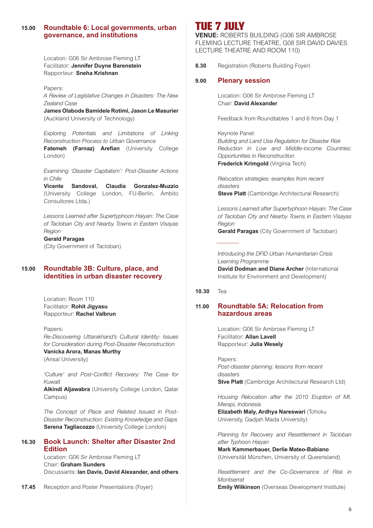#### **15.00 Roundtable 6: Local governments, urban governance, and institutions**

Location: G06 Sir Ambrose Fleming LT Facilitator: **Jennifer Duyne Barenstein** Rapporteur: **Sneha Krishnan**

Papers: *A Review of Legislative Changes in Disasters: The New Zealand Case*

**James Olabode Bamidele Rotimi, Jason Le Masurier** (Auckland University of Technology)

*Exploring Potentials and Limitations of Linking Reconstruction Process to Urban Governance* **Fatemeh (Farnaz) Arefian** (University College London)

*Examining 'Disaster Capitalism': Post-Disaster Actions in Chile*

**Vicente Sandoval, Claudia Gonzalez-Muzzio** (University College London, FU-Berlin, Ámbito Consultores Ltda.)

*Lessons Learned after Supertyphoon Haiyan: The Case of Tacloban City and Nearby Towns in Eastern Visayas Region*

#### **Gerald Paragas**

(City Government of Tacloban)

#### **15.00 Roundtable 3B: Culture, place, and identities in urban disaster recovery**

Location: Room 110 Facilitator: **Rohit Jigyasu** Rapporteur: **Rachel Valbrun**

Papers: *Re-Discovering Uttarakhand's Cultural Identity: Issues for Consideration during Post-Disaster Reconstruction*

#### **Vanicka Arora, Manas Murthy**

(Ansal University)

*'Culture' and Post-Conflict Recovery: The Case for Kuwait*

**Alkindi Aljawabra** (University College London, Qatar Campus)

*The Concept of Place and Related Issued in Post-Disaster Reconstruction: Existing Knowledge and Gaps* **Serena Tagliacozzo** (University College London)

#### **16.30 Book Launch: Shelter after Disaster 2nd Edition**

Location: G06 Sir Ambrose Fleming LT Chair: **Graham Sunders** Discussants: **Ian Davis, David Alexander, and others**

**17.45** Reception and Poster Presentations (Foyer)

## **TUE 7 JULY**

**VENUE:** ROBERTS BUILDING (G06 SIR AMBROSE FLEMING LECTURE THEATRE, G08 SIR DAVID DAVIES LECTURE THEATRE AND ROOM 110)

**8.30** Registration (Roberts Building Foyer)

#### **9.00 Plenary session**

Location: G06 Sir Ambrose Fleming LT Chair: **David Alexander**

Feedback from Roundtables 1 and 6 from Day 1

Keynote Panel: *Building and Land Use Regulation for Disaster Risk Reduction in Low and Middle-income Countries: Opportunities in Reconstruction*  **Frederick Krimgold** (Virginia Tech)

*Relocation strategies: examples from recent disasters* **Steve Platt** (Cambridge Architectural Research)

*Lessons Learned after Supertyphoon Haiyan: The Case of Tacloban City and Nearby Towns in Eastern Visayas Region*

**Gerald Paragas** (City Government of Tacloban)

*Introducing the DFID Urban Humanitarian Crisis Learning Programme*  **David Dodman and Diane Archer** (International

Institute for Environment and Development)

#### **10.30** Tea

#### **11.00 Roundtable 5A: Relocation from hazardous areas**

Location: G06 Sir Ambrose Fleming LT Facilitator: **Allan Lavell** Rapporteur: **Julia Wesely**

Papers: *Post-disaster planning: lessons from recent disasters* **Stve Platt** *(Cambridge Architectural Research Ltd)* 

*Housing Relocation after the 2010 Eruption of Mt. Merapi, Indonesia*

**Elizabeth Maly, Ardhya Nareswari** (Tohoku University, Gadjah Mada University)

*Planning for Recovery and Resettlement in Tacloban after Typhoon Haiyan*

**Mark Kammerbauer, Derlie Mateo-Babiano** (Universität München, University of Queensland)

*Resettlement and the Co-Governance of Risk in Montserrat*

**Emily Wilkinson** (Overseas Development Institute)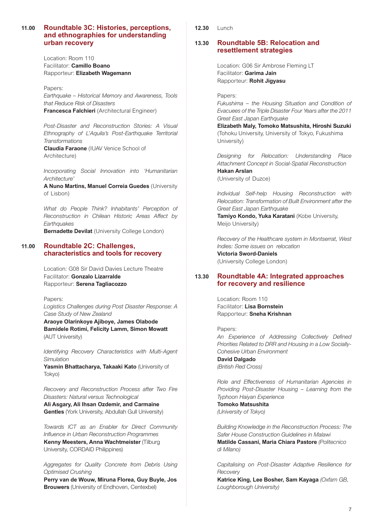#### **11.00 Roundtable 3C: Histories, perceptions, and ethnographies for understanding urban recovery**

Location: Room 110 Facilitator: **Camillo Boano** Rapporteur: **Elizabeth Wagemann**

Papers: *Earthquake – Historical Memory and Awareness, Tools that Reduce Risk of Disasters* **Francesca Falchieri** (Architectural Engineer)

*Post-Disaster and Reconstruction Stories: A Visual Ethnography of L'Aquila's Post-Earthquake Territorial Transformations*

**Claudia Faraone** (IUAV Venice School of Architecture)

*Incorporating Social Innovation into 'Humanitarian Architecture'*

**A Nuno Martins, Manuel Correia Guedes** (University of Lisbon)

*What do People Think? Inhabitants' Perception of Reconstruction in Chilean Historic Areas Affect by Earthquakes* **Bernadette Devilat** (University College London)

#### **11.00 Roundtable 2C: Challenges, characteristics and tools for recovery**

Location: G08 Sir David Davies Lecture Theatre Facilitator: **Gonzalo Lizarralde** Rapporteur: **Serena Tagliacozzo**

Papers:

*Logistics Challenges during Post Disaster Response: A Case Study of New Zealand*

**Araoye Olarinkoye Ajiboye, James Olabode Bamidele Rotimi, Felicity Lamm, Simon Mowatt**  (AUT University)

*Identifying Recovery Characteristics with Multi-Agent Simulation*

**Yasmin Bhattacharya, Takaaki Kato** (University of Tokyo)

*Recovery and Reconstruction Process after Two Fire Disasters: Natural versus Technological*

**Ali Asgary, Ali Ihsan Ozdemir, and Carmaine Gentles** (York University, Abdullah Gull University)

*Towards ICT as an Enabler for Direct Community Influence in Urban Reconstruction Programmes* **Kenny Meesters, Anna Wachtmeister** (Tilburg University, CORDAID Philippines)

*Aggregates for Quality Concrete from Debris Using Optimised Crushing*

**Perry van de Wouw, Miruna Florea, Guy Buyle, Jos Brouwers** (University of Endhoven, Centexbel)

**12.30** Lunch

#### **13.30 Roundtable 5B: Relocation and resettlement strategies**

Location: G06 Sir Ambrose Fleming LT Facilitator: **Garima Jain** Rapporteur: **Rohit Jigyasu**

Papers:

*Fukushima – the Housing Situation and Condition of Evacuees of the Triple Disaster Four Years after the 2011 Great East Japan Earthquake*

**Elizabeth Maly, Tomoko Matsushita, Hiroshi Suzuki**  (Tohoku University, University of Tokyo, Fukushima University)

*Designing for Relocation: Understanding Place Attachment Concept in Social-Spatial Reconstruction* **Hakan Arslan**  (University of Duzce)

*Individual Self-help Housing Reconstruction with Relocation: Transformation of Built Environment after the Great East Japan Earthquake*

**Tamiyo Kondo, Yuka Karatani** (Kobe University, Meijo University)

*Recovery of the Healthcare system in Montserrat, West Indies: Some issues on relocation* **Victoria Sword-Daniels** (University College London)

#### **13.30 Roundtable 4A: Integrated approaches for recovery and resilience**

Location: Room 110 Facilitator: **Lisa Bornstein** Rapporteur: **Sneha Krishnan**

Papers: *An Experience of Addressing Collectively Defined Priorities Related to DRR and Housing in a Low Socially-Cohesive Urban Environment* **David Dalgado** 

*(British Red Cross)*

*Role and Effectiveness of Humanitarian Agencies in Providing Post-Disaster Housing – Learning from the Typhoon Haiyan Experience*

**Tomoko Matsushita** *(University of Tokyo)*

*Building Knowledge in the Reconstruction Process: The Safer House Construction Guidelines in Malawi* **Matilde Cassani, Maria Chiara Pastore** *(Politecnico di Milano)*

*Capitalising on Post-Disaster Adaptive Resilience for Recovery*

**Katrice King, Lee Bosher, Sam Kayaga** *(Oxfam GB, Loughborough University)*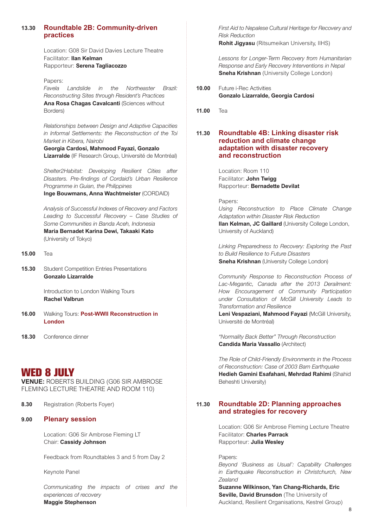#### **13.30 Roundtable 2B: Community-driven practices**

Location: G08 Sir David Davies Lecture Theatre Facilitator: **Ilan Kelman** Rapporteur: **Serena Tagliacozzo**

Papers: *Favela Landslide in the Northeaster Brazil: Reconstructing Sites through Resident's Practices* **Ana Rosa Chagas Cavalcanti** (Sciences without Borders)

*Relationships between Design and Adaptive Capacities in Informal Settlements: the Reconstruction of the Toi Market in Kibera, Nairobi*

**Georgia Cardosi, Mahmood Fayazi, Gonzalo Lizarralde** (IF Research Group, Université de Montréal)

*Shelter2Habitat: Developing Resilient Cities after Disasters. Pre-findings of Cordaid's Urban Resilience Programme in Guian, the Philippines*

**Inge Bouwmans, Anna Wachtmeister** (CORDAID)

*Analysis of Successful Indexes of Recovery and Factors Leading to Successful Recovery – Case Studies of Some Communities in Banda Aceh, Indonesia* **Maria Bernadet Karina Dewi, Takaaki Kato**  (University of Tokyo)

- **15.00** Tea
- **15.30** Student Competition Entries Presentations **Gonzalo Lizarralde**

Introduction to London Walking Tours **Rachel Valbrun**

- **16.00** Walking Tours: **Post-WWII Reconstruction in London**
- **18.30** Conference dinner

### **WED 8 JULY**

**VENUE:** ROBERTS BUILDING (G06 SIR AMBROSE FLEMING LECTURE THEATRE AND ROOM 110)

**8.30** Registration (Roberts Foyer)

#### **9.00 Plenary session**

Location: G06 Sir Ambrose Fleming LT Chair: **Cassidy Johnson**

Feedback from Roundtables 3 and 5 from Day 2

Keynote Panel

*Communicating the impacts of crises and the experiences of recovery* **Maggie Stephenson** 

*First Aid to Nepalese Cultural Heritage for Recovery and Risk Reduction* 

**Rohit Jigyasu** (Ritsumeikan University, IIHS)

*Lessons for Longer-Term Recovery from Humanitarian Response and Early Recovery Interventions in Nepal*  **Sneha Krishnan** (University College London)

- **10.00** Future i-Rec Activities **Gonzalo Lizarralde, Georgia Cardosi**
- **11.00** Tea

#### **11.30 Roundtable 4B: Linking disaster risk reduction and climate change adaptation with disaster recovery and reconstruction**

Location: Room 110 Facilitator: **John Twigg** Rapporteur: **Bernadette Devilat**

Papers:

*Using Reconstruction to Place Climate Change Adaptation within Disaster Risk Reduction* **Ilan Kelman, JC Gaillard** (University College London, University of Auckland)

*Linking Preparedness to Recovery: Exploring the Past to Build Resilience to Future Disasters* **Sneha Krishnan** (University College London)

*Community Response to Reconstruction Process of Lac-Megantic, Canada after the 2013 Derailment: How Encouragement of Community Participation under Consultation of McGill University Leads to Transformation and Resilience*

**Leni Vespaziani, Mahmood Favazi (McGill University,** Université de Montréal)

*"Normality Back Better" Through Reconstruction* **Candida Maria Vassallo** (Architect)

*The Role of Child-Friendly Environments in the Process of Reconstruction: Case of 2003 Bam Earthquake* **Hedieh Gamini Esafahani, Mehrdad Rahimi** (Shahid Beheshti University)

#### **11.30 Roundtable 2D: Planning approaches and strategies for recovery**

Location: G06 Sir Ambrose Fleming Lecture Theatre Facilitator: **Charles Parrack** Rapporteur: **Julia Wesley**

Papers:

*Beyond 'Business as Usual': Capability Challenges in Earthquake Reconstruction in Christchurch, New Zealand*

**Suzanne Wilkinson, Yan Chang-Richards, Eric Seville, David Brunsdon** (The University of Auckland, Resilient Organisations, Kestrel Group)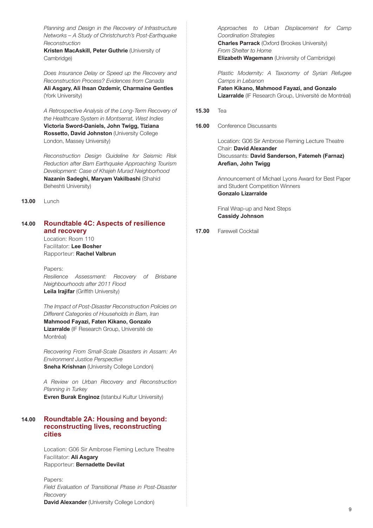*Planning and Design in the Recovery of Infrastructure Networks – A Study of Christchurch's Post-Earthquake Reconstruction*

**Kristen MacAskill, Peter Guthrie** (University of Cambridge)

*Does Insurance Delay or Speed up the Recovery and Reconstruction Process? Evidences from Canada* **Ali Asgary, Ali Ihsan Ozdemir, Charmaine Gentles**  (York University)

*A Retrospective Analysis of the Long-Term Recovery of the Healthcare System in Montserrat, West Indies* **Victoria Sword-Daniels, John Twigg, Tiziana Rossetto, David Johnston** (University College London, Massey University)

*Reconstruction Design Guideline for Seismic Risk Reduction after Bam Earthquake Approaching Tourism Development: Case of Khajeh Murad Neighborhood* **Nazanin Sadeghi, Maryam Vakilbashi** (Shahid Beheshti University)

**13.00** Lunch

#### **14.00 Roundtable 4C: Aspects of resilience and recovery**

Location: Room 110 Facilitator: **Lee Bosher** Rapporteur: **Rachel Valbrun**

Papers: *Resilience Assessment: Recovery of Brisbane Neighbourhoods after 2011 Flood* **Leila Irajifar** (Griffith University)

*The Impact of Post-Disaster Reconstruction Policies on Different Categories of Households in Bam, Iran* **Mahmood Fayazi, Faten Kikano, Gonzalo Lizarralde** (IF Research Group, Université de Montréal)

*Recovering From Small-Scale Disasters in Assam: An Environment Justice Perspective* **Sneha Krishnan** (University College London)

*A Review on Urban Recovery and Reconstruction Planning in Turkey* **Evren Burak Enginoz** (Istanbul Kultur University)

#### **14.00 Roundtable 2A: Housing and beyond: reconstructing lives, reconstructing cities**

Location: G06 Sir Ambrose Fleming Lecture Theatre Facilitator: **Ali Asgary** Rapporteur: **Bernadette Devilat**

Papers: *Field Evaluation of Transitional Phase in Post-Disaster Recovery* **David Alexander** (University College London)

*Approaches to Urban Displacement for Camp Coordination Strategies* **Charles Parrack** (Oxford Brookes University)

*From Shelter to Home* **Elizabeth Wagemann** (University of Cambridge)

*Plastic Modernity: A Taxonomy of Syrian Refugee Camps in Lebanon* **Faten Kikano, Mahmood Fayazi, and Gonzalo Lizarralde** (IF Research Group, Université de Montréal)

#### **15.30** Tea

**16.00** Conference Discussants

Location: G06 Sir Ambrose Fleming Lecture Theatre Chair: **David Alexander**  Discussants: **David Sanderson, Fatemeh (Farnaz) Arefian, John Twigg**

Announcement of Michael Lyons Award for Best Paper and Student Competition Winners **Gonzalo Lizarralde**

Final Wrap-up and Next Steps **Cassidy Johnson**

#### **17.00** Farewell Cocktail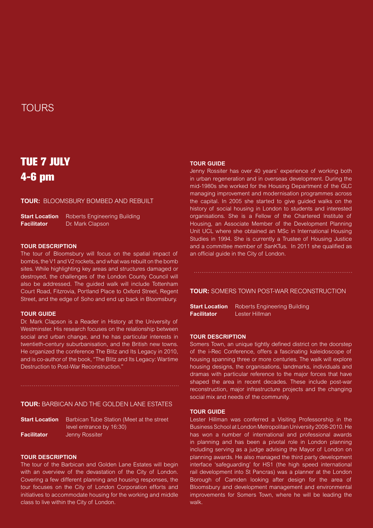### TOURS

## **TUE 7 JULY 4-6 pm**

**TOUR:** BLOOMSBURY BOMBED AND REBUILT

**Start Location** Roberts Engineering Building **Facilitator** Dr. Mark Clapson

#### **TOUR DESCRIPTION**

The tour of Bloomsbury will focus on the spatial impact of bombs, the V1 and V2 rockets, and what was rebuilt on the bomb sites. While highlighting key areas and structures damaged or destroyed, the challenges of the London County Council will also be addressed. The guided walk will include Tottenham Court Road, Fitzrovia, Portland Place to Oxford Street, Regent Street, and the edge of Soho and end up back in Bloomsbury.

#### **TOUR GUIDE**

Dr. Mark Clapson is a Reader in History at the University of Westminster. His research focuses on the relationship between social and urban change, and he has particular interests in twentieth-century suburbanisation, and the British new towns. He organized the conference The Blitz and Its Legacy in 2010, and is co-author of the book, "The Blitz and Its Legacy: Wartime Destruction to Post-War Reconstruction."

#### **TOUR:** BARBICAN AND THE GOLDEN LANE ESTATES

| <b>Start Location</b> | Barbican Tube Station (Meet at the street |
|-----------------------|-------------------------------------------|
|                       | level entrance by 16:30)                  |
| <b>Facilitator</b>    | Jenny Rossiter                            |

#### **TOUR DESCRIPTION**

The tour of the Barbican and Golden Lane Estates will begin with an overview of the devastation of the City of London. Covering a few different planning and housing responses, the tour focuses on the City of London Corporation efforts and initiatives to accommodate housing for the working and middle class to live within the City of London.

#### **TOUR GUIDE**

Jenny Rossiter has over 40 years' experience of working both in urban regeneration and in overseas development. During the mid-1980s she worked for the Housing Department of the GLC managing improvement and modernisation programmes across the capital. In 2005 she started to give guided walks on the history of social housing in London to students and interested organisations. She is a Fellow of the Chartered Institute of Housing, an Associate Member of the Development Planning Unit UCL where she obtained an MSc in International Housing Studies in 1994. She is currently a Trustee of Housing Justice and a committee member of SanKTus. In 2011 she qualified as an official guide in the City of London.

**TOUR:** SOMERS TOWN POST-WAR RECONSTRUCTION

**Start Location** Roberts Engineering Building **Facilitator** Lester Hillman

#### **TOUR DESCRIPTION**

Somers Town, an unique tightly defined district on the doorstep of the i-Rec Conference, offers a fascinating kaleidoscope of housing spanning three or more centuries. The walk will explore housing designs, the organisations, landmarks, individuals and dramas with particular reference to the major forces that have shaped the area in recent decades. These include post-war reconstruction, major infrastructure projects and the changing social mix and needs of the community.

#### **TOUR GUIDE**

Lester Hillman was conferred a Visiting Professorship in the Business School at London Metropolitan University 2008-2010. He has won a number of international and professional awards in planning and has been a pivotal role in London planning including serving as a judge advising the Mayor of London on planning awards. He also managed the third party development interface 'safeguarding' for HS1 (the high speed international rail development into St Pancras) was a planner at the London Borough of Camden looking after design for the area of Bloomsbury and development management and environmental improvements for Somers Town, where he will be leading the walk.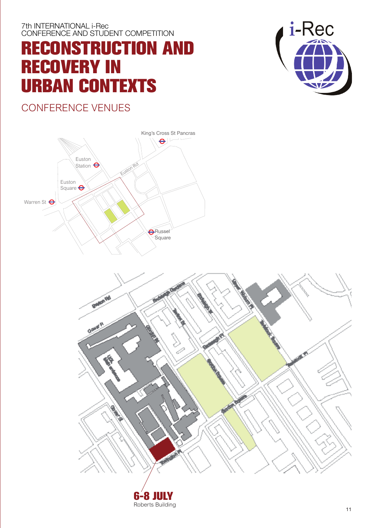# **RECONSTRUCTION AND RECOVERY IN URBAN CONTEXTS**

CONFERENCE VENUES





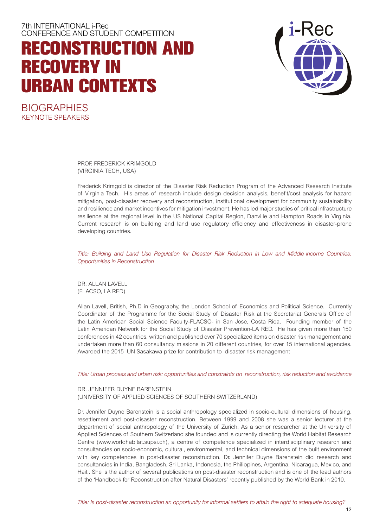## **RECONSTRUCTION AND RECOVERY IN URBAN CONTEXTS**



**BIOGRAPHIES** KEYNOTE SPEAKERS

> PROF. FREDERICK KRIMGOLD (VIRGINIA TECH, USA)

Frederick Krimgold is director of the Disaster Risk Reduction Program of the Advanced Research Institute of Virginia Tech. His areas of research include design decision analysis, benefit/cost analysis for hazard mitigation, post-disaster recovery and reconstruction, institutional development for community sustainability and resilience and market incentives for mitigation investment. He has led major studies of critical infrastructure resilience at the regional level in the US National Capital Region, Danville and Hampton Roads in Virginia. Current research is on building and land use regulatory efficiency and effectiveness in disaster-prone developing countries.

*Title: Building and Land Use Regulation for Disaster Risk Reduction in Low and Middle-income Countries: Opportunities in Reconstruction*

DR. ALLAN LAVELL (FLACSO, LA RED)

Allan Lavell, British, Ph.D in Geography, the London School of Economics and Political Science. Currently Coordinator of the Programme for the Social Study of Disaster Risk at the Secretariat Generals Office of the Latin American Social Science Faculty-FLACSO- in San Jose, Costa Rica. Founding member of the Latin American Network for the Social Study of Disaster Prevention-LA RED. He has given more than 150 conferences in 42 countries, written and published over 70 specialized items on disaster risk management and undertaken more than 60 consultancy missions in 20 different countries, for over 15 international agencies. Awarded the 2015 UN Sasakawa prize for contribution to disaster risk management

*Title: Urban process and urban risk: opportunities and constraints on reconstruction, risk reduction and avoidance*

#### DR. JENNIFER DUYNE BARENSTEIN

(UNIVERSITY OF APPLIED SCIENCES OF SOUTHERN SWITZERLAND)

Dr. Jennifer Duyne Barenstein is a social anthropology specialized in socio-cultural dimensions of housing, resettlement and post-disaster reconstruction. Between 1999 and 2008 she was a senior lecturer at the department of social anthropology of the University of Zurich. As a senior researcher at the University of Applied Sciences of Southern Switzerland she founded and is currently directing the World Habitat Research Centre (www.worldhabitat.supsi.ch), a centre of competence specialized in interdisciplinary research and consultancies on socio-economic, cultural, environmental, and technical dimensions of the built environment with key competences in post-disaster reconstruction. Dr. Jennifer Duyne Barenstein did research and consultancies in India, Bangladesh, Sri Lanka, Indonesia, the Philippines, Argentina, Nicaragua, Mexico, and Haiti. She is the author of several publications on post-disaster reconstruction and is one of the lead authors of the 'Handbook for Reconstruction after Natural Disasters' recently published by the World Bank in 2010.

*Title: Is post-disaster reconstruction an opportunity for informal settlers to attain the right to adequate housing?*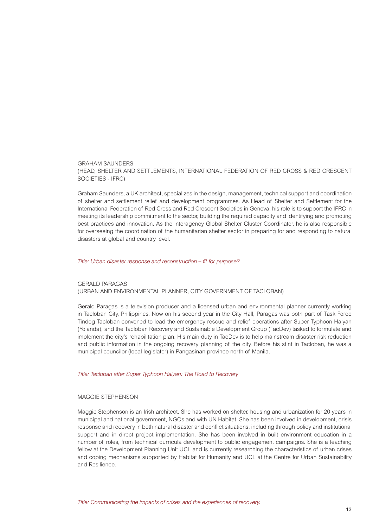GRAHAM SAUNDERS (HEAD, SHELTER AND SETTLEMENTS, INTERNATIONAL FEDERATION OF RED CROSS & RED CRESCENT SOCIETIES - IFRC)

Graham Saunders, a UK architect, specializes in the design, management, technical support and coordination of shelter and settlement relief and development programmes. As Head of Shelter and Settlement for the International Federation of Red Cross and Red Crescent Societies in Geneva, his role is to support the IFRC in meeting its leadership commitment to the sector, building the required capacity and identifying and promoting best practices and innovation. As the interagency Global Shelter Cluster Coordinator, he is also responsible for overseeing the coordination of the humanitarian shelter sector in preparing for and responding to natural disasters at global and country level.

#### *Title: Urban disaster response and reconstruction – fit for purpose?*

#### GERALD PARAGAS (URBAN AND ENVIRONMENTAL PLANNER, CITY GOVERNMENT OF TACLOBAN)

Gerald Paragas is a television producer and a licensed urban and environmental planner currently working in Tacloban City, Philippines. Now on his second year in the City Hall, Paragas was both part of Task Force Tindog Tacloban convened to lead the emergency rescue and relief operations after Super Typhoon Haiyan (Yolanda), and the Tacloban Recovery and Sustainable Development Group (TacDev) tasked to formulate and implement the city's rehabilitation plan. His main duty in TacDev is to help mainstream disaster risk reduction and public information in the ongoing recovery planning of the city. Before his stint in Tacloban, he was a municipal councilor (local legislator) in Pangasinan province north of Manila.

#### *Title: Tacloban after Super Typhoon Haiyan: The Road to Recovery*

#### MAGGIE STEPHENSON

Maggie Stephenson is an Irish architect. She has worked on shelter, housing and urbanization for 20 years in municipal and national government, NGOs and with UN Habitat. She has been involved in development, crisis response and recovery in both natural disaster and conflict situations, including through policy and institutional support and in direct project implementation. She has been involved in built environment education in a number of roles, from technical curricula development to public engagement campaigns. She is a teaching fellow at the Development Planning Unit UCL and is currently researching the characteristics of urban crises and coping mechanisms supported by Habitat for Humanity and UCL at the Centre for Urban Sustainability and Resilience.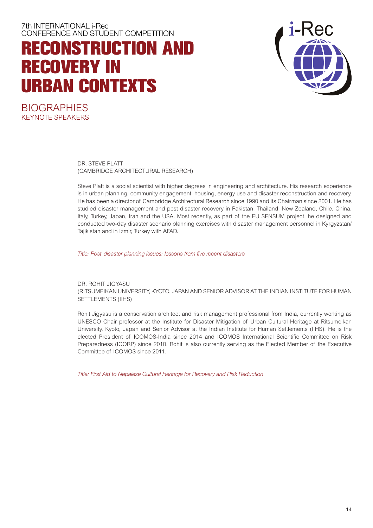## **RECONSTRUCTION AND RECOVERY IN URBAN CONTEXTS**



**BIOGRAPHIES** KEYNOTE SPEAKERS

> DR. STEVE PLATT (CAMBRIDGE ARCHITECTURAL RESEARCH)

Steve Platt is a social scientist with higher degrees in engineering and architecture. His research experience is in urban planning, community engagement, housing, energy use and disaster reconstruction and recovery. He has been a director of Cambridge Architectural Research since 1990 and its Chairman since 2001. He has studied disaster management and post disaster recovery in Pakistan, Thailand, New Zealand, Chile, China, Italy, Turkey, Japan, Iran and the USA. Most recently, as part of the EU SENSUM project, he designed and conducted two-day disaster scenario planning exercises with disaster management personnel in Kyrgyzstan/ Tajikistan and in Izmir, Turkey with AFAD.

*Title: Post-disaster planning issues: lessons from five recent disasters*

DR. ROHIT JIGYASU (RITSUMEIKAN UNIVERSITY, KYOTO, JAPAN AND SENIOR ADVISOR AT THE INDIAN INSTITUTE FOR HUMAN SETTLEMENTS (IIHS)

Rohit Jigyasu is a conservation architect and risk management professional from India, currently working as UNESCO Chair professor at the Institute for Disaster Mitigation of Urban Cultural Heritage at Ritsumeikan University, Kyoto, Japan and Senior Advisor at the Indian Institute for Human Settlements (IIHS). He is the elected President of ICOMOS-India since 2014 and ICOMOS International Scientific Committee on Risk Preparedness (ICORP) since 2010. Rohit is also currently serving as the Elected Member of the Executive Committee of ICOMOS since 2011.

*Title: First Aid to Nepalese Cultural Heritage for Recovery and Risk Reduction*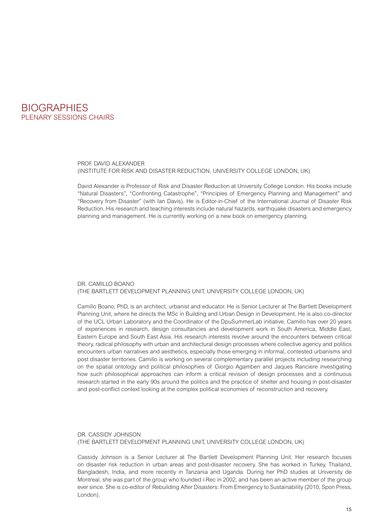

PROF. DAVID ALEXANDER (INSTITUTE FOR RISK AND DISASTER REDUCTION, UNIVERSITY COLLEGE LONDON, UK)

David Alexander is Professor of Risk and Disaster Reduction at University College London. His books include "Natural Disasters", "Confronting Catastrophe", "Principles of Emergency Planning and Management" and "Recovery from Disaster" (with Ian Davis). He is Editor-in-Chief of the International Journal of Disaster Risk Reduction. His research and teaching interests include natural hazards, earthquake disasters and emergency planning and management. He is currently working on a new book on emergency planning.

#### DR. CAMILLO BOANO (THE BARTLETT DEVELOPMENT PLANNING UNIT, UNIVERSITY COLLEGE LONDON, UK)

Camillo Boano, PhD, is an architect, urbanist and educator. He is Senior Lecturer at The Bartlett Development Planning Unit, where he directs the MSc in Building and Urban Design in Development. He is also co-director of the UCL Urban Laboratory and the Coordinator of the DpuSummerLab initiative. Camillo has over 20 years of experiences in research, design consultancies and development work in South America, Middle East, Eastern Europe and South East Asia. His research interests revolve around the encounters between critical theory, radical philosophy with urban and architectural design processes where collective agency and politics encounters urban narratives and aesthetics, especially those emerging in informal, contested urbanisms and post disaster territories. Camillo is working on several complementary parallel projects including researching on the spatial ontology and political philosophies of Giorgio Agamben and Jaques Ranciere investigating how such philosophical approaches can inform a critical revision of design processes and a continuous research started in the early 90s around the politics and the practice of shelter and housing in post-disaster and post-conflict context looking at the complex political economies of reconstruction and recovery.

#### DR. CASSIDY JOHNSON (THE BARTLETT DEVELOPMENT PLANNING UNIT, UNIVERSITY COLLEGE LONDON, UK)

Cassidy Johnson is a Senior Lecturer at The Bartlett Development Planning Unit. Her research focuses on disaster risk reduction in urban areas and post-disaster recovery. She has worked in Turkey, Thailand, Bangladesh, India, and more recently in Tanzania and Uganda. During her PhD studies at University de Montreal, she was part of the group who founded i-Rec in 2002, and has been an active member of the group ever since. She is co-editor of Rebuilding After Disasters: From Emergency to Sustainability (2010, Spon Press, London).